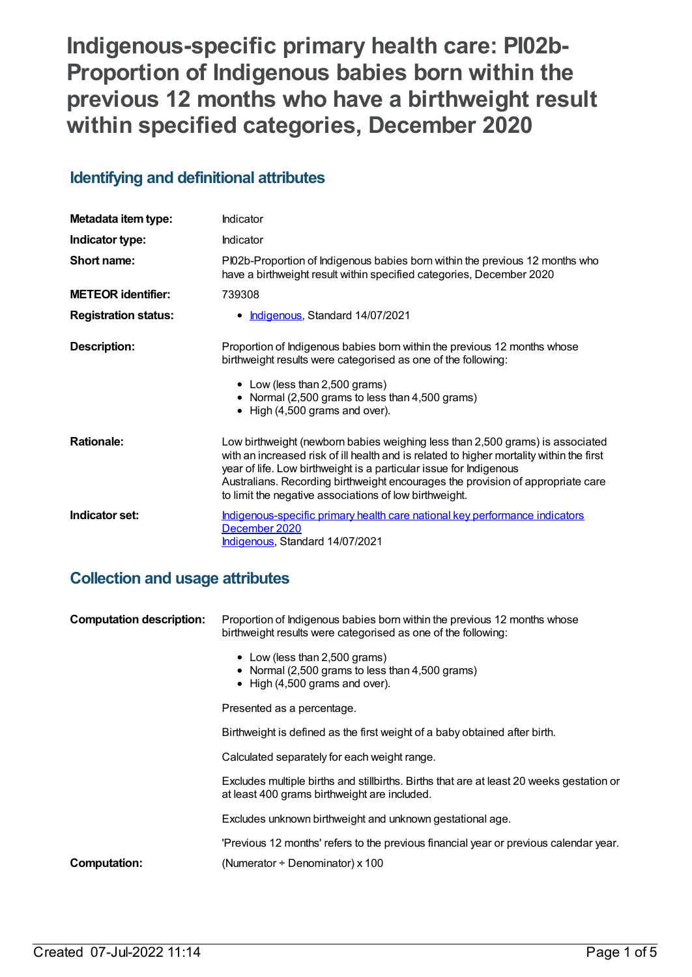**Indigenous-specific primary health care: PI02b-Proportion of Indigenous babies born within the previous 12 months who have a birthweight result within specified categories, December 2020**

# **Identifying and definitional attributes**

| Metadata item type:         | Indicator                                                                                                                                                                                                                                                                                                                                                                                    |
|-----------------------------|----------------------------------------------------------------------------------------------------------------------------------------------------------------------------------------------------------------------------------------------------------------------------------------------------------------------------------------------------------------------------------------------|
| Indicator type:             | Indicator                                                                                                                                                                                                                                                                                                                                                                                    |
| Short name:                 | PI02b-Proportion of Indigenous babies born within the previous 12 months who<br>have a birthweight result within specified categories, December 2020                                                                                                                                                                                                                                         |
| <b>METEOR identifier:</b>   | 739308                                                                                                                                                                                                                                                                                                                                                                                       |
| <b>Registration status:</b> | • Indigenous, Standard 14/07/2021                                                                                                                                                                                                                                                                                                                                                            |
| Description:                | Proportion of Indigenous babies born within the previous 12 months whose<br>birthweight results were categorised as one of the following:<br>• Low (less than 2,500 grams)<br>• Normal (2,500 grams to less than 4,500 grams)<br>$\bullet$ High (4,500 grams and over).                                                                                                                      |
| <b>Rationale:</b>           | Low birthweight (newborn babies weighing less than 2,500 grams) is associated<br>with an increased risk of ill health and is related to higher mortality within the first<br>year of life. Low birthweight is a particular issue for Indigenous<br>Australians. Recording birthweight encourages the provision of appropriate care<br>to limit the negative associations of low birthweight. |
| Indicator set:              | Indigenous-specific primary health care national key performance indicators<br>December 2020<br><b>Indigenous, Standard 14/07/2021</b>                                                                                                                                                                                                                                                       |

## **Collection and usage attributes**

| <b>Computation description:</b> | Proportion of Indigenous babies born within the previous 12 months whose<br>birthweight results were categorised as one of the following:<br>• Low (less than 2,500 grams)<br>• Normal (2,500 grams to less than 4,500 grams)<br>$\bullet$ High (4,500 grams and over). |
|---------------------------------|-------------------------------------------------------------------------------------------------------------------------------------------------------------------------------------------------------------------------------------------------------------------------|
|                                 | Presented as a percentage.                                                                                                                                                                                                                                              |
|                                 |                                                                                                                                                                                                                                                                         |
|                                 | Birthweight is defined as the first weight of a baby obtained after birth.                                                                                                                                                                                              |
|                                 | Calculated separately for each weight range.                                                                                                                                                                                                                            |
|                                 | Excludes multiple births and stillbirths. Births that are at least 20 weeks gestation or<br>at least 400 grams birthweight are included.                                                                                                                                |
|                                 | Excludes unknown birthweight and unknown gestational age.                                                                                                                                                                                                               |
|                                 | 'Previous 12 months' refers to the previous financial year or previous calendar year.                                                                                                                                                                                   |
| <b>Computation:</b>             | (Numerator $\div$ Denominator) x 100                                                                                                                                                                                                                                    |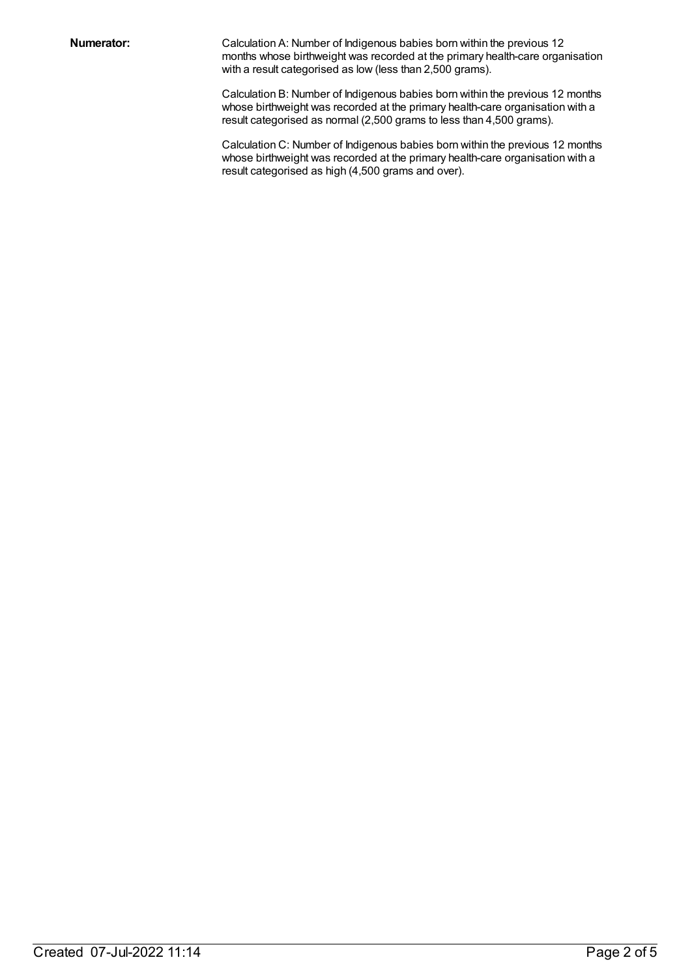**Numerator:** Calculation A: Number of Indigenous babies born within the previous 12 months whose birthweight was recorded at the primary health-care organisation with a result categorised as low (less than 2,500 grams).

> Calculation B: Number of Indigenous babies born within the previous 12 months whose birthweight was recorded at the primary health-care organisation with a result categorised as normal (2,500 grams to less than 4,500 grams).

> Calculation C: Number of Indigenous babies born within the previous 12 months whose birthweight was recorded at the primary health-care organisation with a result categorised as high (4,500 grams and over).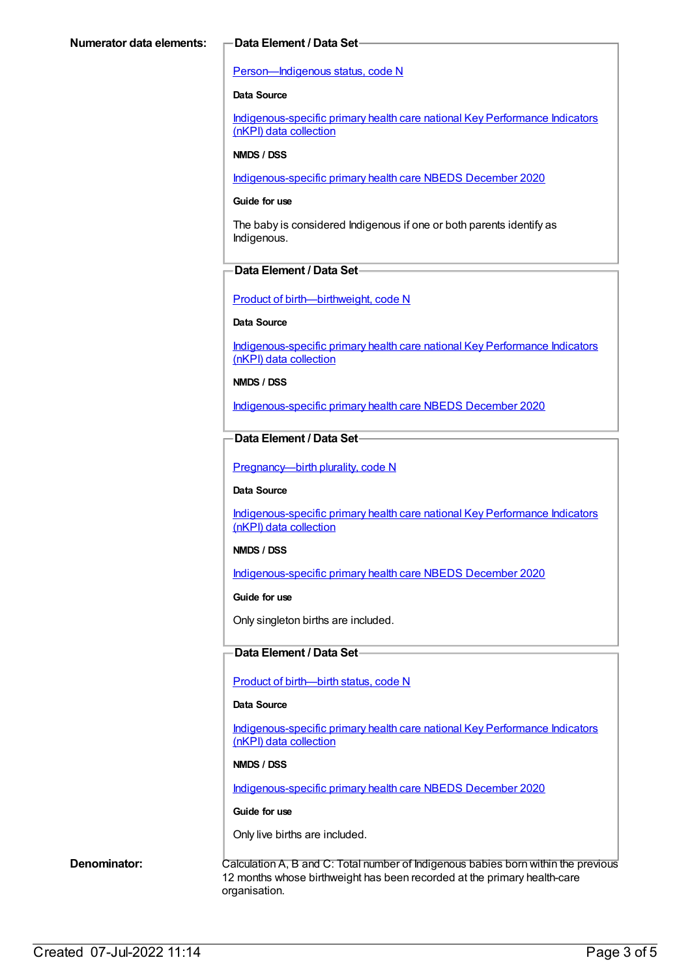#### [Person—Indigenous](https://meteor.aihw.gov.au/content/602543) status, code N

#### **Data Source**

[Indigenous-specific](https://meteor.aihw.gov.au/content/737914) primary health care national Key Performance Indicators (nKPI) data collection

#### **NMDS / DSS**

[Indigenous-specific](https://meteor.aihw.gov.au/content/738532) primary health care NBEDS December 2020

#### **Guide for use**

The baby is considered Indigenous if one or both parents identify as Indigenous.

#### **Data Element / Data Set**

Product of [birth—birthweight,](https://meteor.aihw.gov.au/content/709560) code N

#### **Data Source**

[Indigenous-specific](https://meteor.aihw.gov.au/content/737914) primary health care national Key Performance Indicators (nKPI) data collection

#### **NMDS / DSS**

[Indigenous-specific](https://meteor.aihw.gov.au/content/738532) primary health care NBEDS December 2020

#### **Data Element / Data Set**

Pregnancy--- birth plurality, code N

#### **Data Source**

[Indigenous-specific](https://meteor.aihw.gov.au/content/737914) primary health care national Key Performance Indicators (nKPI) data collection

#### **NMDS / DSS**

[Indigenous-specific](https://meteor.aihw.gov.au/content/738532) primary health care NBEDS December 2020

#### **Guide for use**

Only singleton births are included.

#### **Data Element / Data Set**

Product of [birth—birth](https://meteor.aihw.gov.au/content/732895) status, code N

#### **Data Source**

[Indigenous-specific](https://meteor.aihw.gov.au/content/737914) primary health care national Key Performance Indicators (nKPI) data collection

#### **NMDS / DSS**

[Indigenous-specific](https://meteor.aihw.gov.au/content/738532) primary health care NBEDS December 2020

#### **Guide for use**

Only live births are included.

**Denominator:** Calculation A, B and C: Total number of Indigenous babies born within the previous 12 months whose birthweight has been recorded at the primary health-care organisation.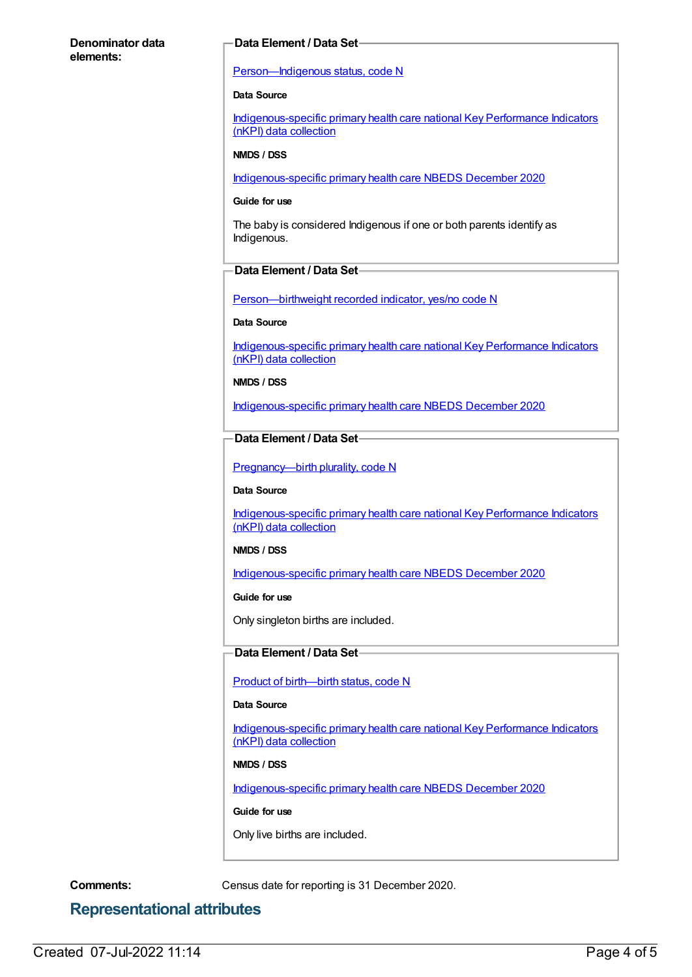#### **Denominator data elements:**

#### **Data Element / Data Set**

#### [Person—Indigenous](https://meteor.aihw.gov.au/content/602543) status, code N

#### **Data Source**

[Indigenous-specific](https://meteor.aihw.gov.au/content/737914) primary health care national Key Performance Indicators (nKPI) data collection

#### **NMDS / DSS**

[Indigenous-specific](https://meteor.aihw.gov.au/content/738532) primary health care NBEDS December 2020

#### **Guide for use**

The baby is considered Indigenous if one or both parents identify as Indigenous.

### **Data Element / Data Set**

[Person—birthweight](https://meteor.aihw.gov.au/content/709571) recorded indicator, yes/no code N

#### **Data Source**

[Indigenous-specific](https://meteor.aihw.gov.au/content/737914) primary health care national Key Performance Indicators (nKPI) data collection

#### **NMDS / DSS**

[Indigenous-specific](https://meteor.aihw.gov.au/content/738532) primary health care NBEDS December 2020

### **Data Element / Data Set**

Pregnancy--- birth plurality, code N

#### **Data Source**

[Indigenous-specific](https://meteor.aihw.gov.au/content/737914) primary health care national Key Performance Indicators (nKPI) data collection

#### **NMDS / DSS**

[Indigenous-specific](https://meteor.aihw.gov.au/content/738532) primary health care NBEDS December 2020

#### **Guide for use**

Only singleton births are included.

#### **Data Element / Data Set**

Product of [birth—birth](https://meteor.aihw.gov.au/content/732895) status, code N

#### **Data Source**

[Indigenous-specific](https://meteor.aihw.gov.au/content/737914) primary health care national Key Performance Indicators (nKPI) data collection

#### **NMDS / DSS**

[Indigenous-specific](https://meteor.aihw.gov.au/content/738532) primary health care NBEDS December 2020

#### **Guide for use**

Only live births are included.

**Comments:** Census date for reporting is 31 December 2020.

## **Representational attributes**